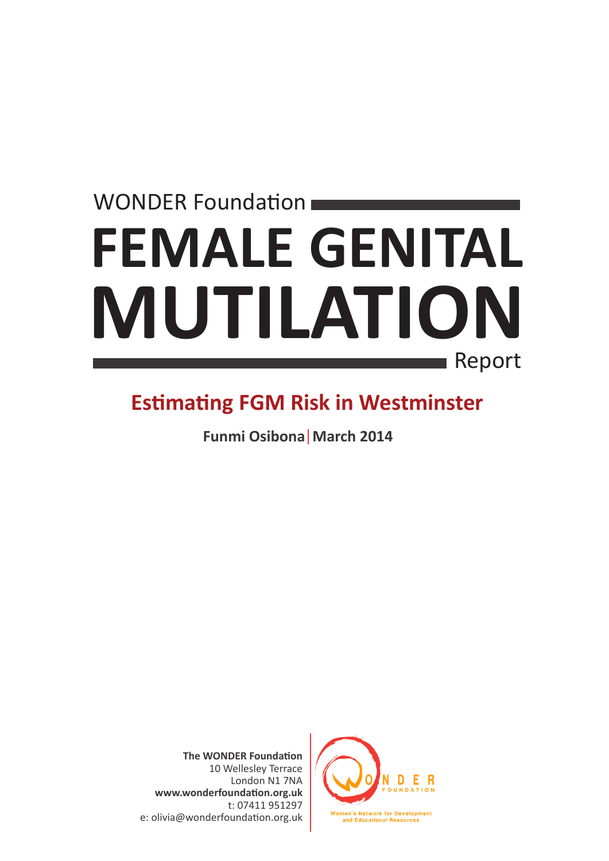### **FEMALE GENITAL MUTILATION** WONDER Foundation Report

### **Estimating FGM Risk in Westminster**

**Funmi Osibona March 2014** 

**The WONDER Foundation** 10 Wellesley Terrace London N1 7NA **www.wonderfoundation.org.uk** t: 07411 951297 e: olivia@wonderfoundation.org.uk

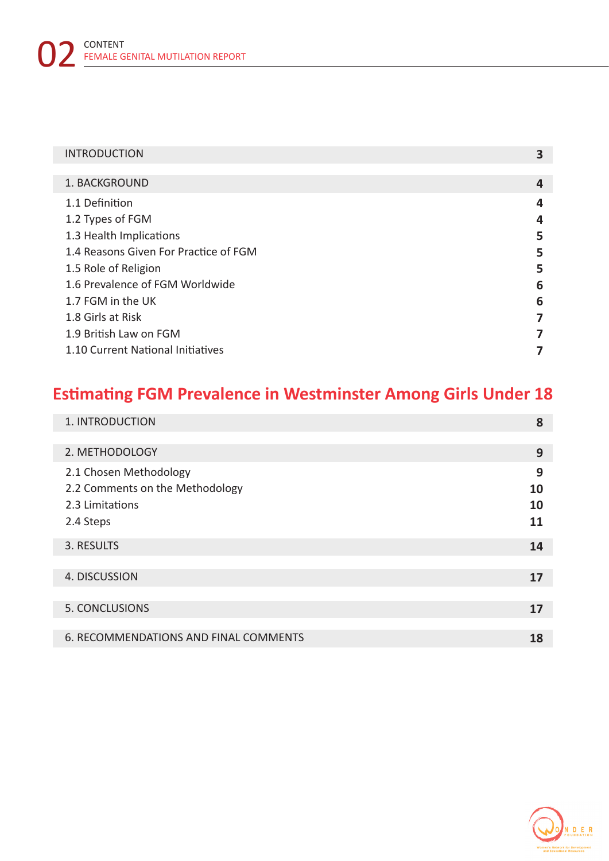#### INTRODUCTION **3**

| 1. BACKGROUND                         | 4 |
|---------------------------------------|---|
| 1.1 Definition                        | 4 |
| 1.2 Types of FGM                      | 4 |
| 1.3 Health Implications               | 5 |
| 1.4 Reasons Given For Practice of FGM | 5 |
| 1.5 Role of Religion                  | 5 |
| 1.6 Prevalence of FGM Worldwide       | 6 |
| 1.7 FGM in the UK                     | 6 |
| 1.8 Girls at Risk                     | 7 |
| 1.9 British Law on FGM                | 7 |
| 1.10 Current National Initiatives     |   |

### **Estimating FGM Prevalence in Westminster Among Girls Under 18**

| 1. INTRODUCTION                       | 8  |
|---------------------------------------|----|
|                                       |    |
| 2. METHODOLOGY                        | 9  |
| 2.1 Chosen Methodology                | 9  |
| 2.2 Comments on the Methodology       | 10 |
| 2.3 Limitations                       | 10 |
| 2.4 Steps                             | 11 |
| 3. RESULTS                            | 14 |
|                                       |    |
| 4. DISCUSSION                         | 17 |
|                                       |    |
| 5. CONCLUSIONS                        | 17 |
|                                       |    |
| 6. RECOMMENDATIONS AND FINAL COMMENTS | 18 |

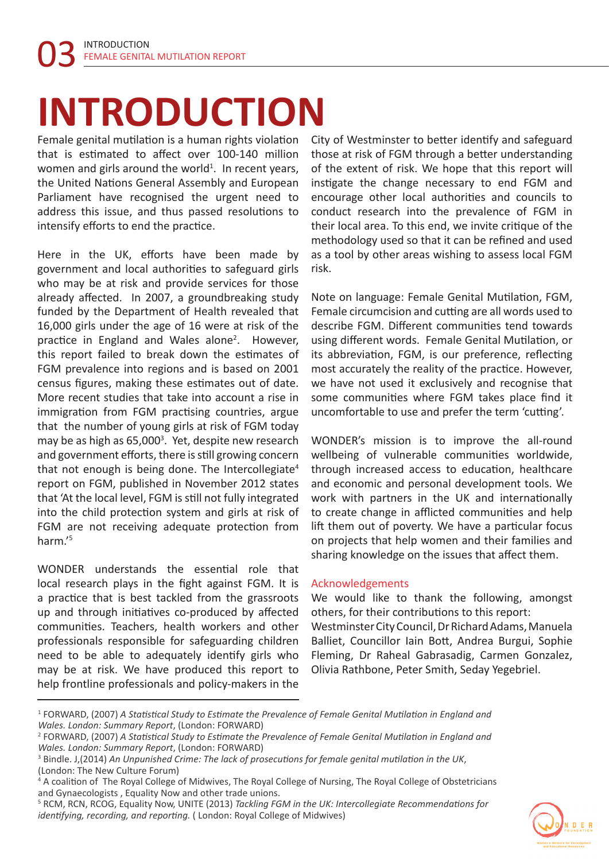### **INTRODUCTION**

Female genital mutilation is a human rights violation that is estimated to affect over 100-140 million women and girls around the world<sup>1</sup>. In recent years, the United Nations General Assembly and European Parliament have recognised the urgent need to address this issue, and thus passed resolutions to intensify efforts to end the practice.

Here in the UK, efforts have been made by government and local authorities to safeguard girls who may be at risk and provide services for those already affected. In 2007, a groundbreaking study funded by the Department of Health revealed that 16,000 girls under the age of 16 were at risk of the practice in England and Wales alone<sup>2</sup>. However, this report failed to break down the estimates of FGM prevalence into regions and is based on 2001 census figures, making these estimates out of date. More recent studies that take into account a rise in immigration from FGM practising countries, argue that the number of young girls at risk of FGM today may be as high as 65,000<sup>3</sup>. Yet, despite new research and government efforts, there is still growing concern that not enough is being done. The Intercollegiate<sup>4</sup> report on FGM, published in November 2012 states that 'At the local level, FGM is still not fully integrated into the child protection system and girls at risk of FGM are not receiving adequate protection from harm.'<sup>5</sup>

WONDER understands the essential role that local research plays in the fight against FGM. It is a practice that is best tackled from the grassroots up and through initiatives co-produced by affected communities. Teachers, health workers and other professionals responsible for safeguarding children need to be able to adequately identify girls who may be at risk. We have produced this report to help frontline professionals and policy-makers in the

City of Westminster to better identify and safeguard those at risk of FGM through a better understanding of the extent of risk. We hope that this report will instigate the change necessary to end FGM and encourage other local authorities and councils to conduct research into the prevalence of FGM in their local area. To this end, we invite critique of the methodology used so that it can be refined and used as a tool by other areas wishing to assess local FGM risk.

Note on language: Female Genital Mutilation, FGM, Female circumcision and cutting are all words used to describe FGM. Different communities tend towards using different words. Female Genital Mutilation, or its abbreviation, FGM, is our preference, reflecting most accurately the reality of the practice. However, we have not used it exclusively and recognise that some communities where FGM takes place find it uncomfortable to use and prefer the term 'cutting'.

WONDER's mission is to improve the all-round wellbeing of vulnerable communities worldwide, through increased access to education, healthcare and economic and personal development tools. We work with partners in the UK and internationally to create change in afflicted communities and help lift them out of poverty. We have a particular focus on projects that help women and their families and sharing knowledge on the issues that affect them.

#### Acknowledgements

We would like to thank the following, amongst others, for their contributions to this report: Westminster City Council, Dr Richard Adams, Manuela

Balliet, Councillor Iain Bott, Andrea Burgui, Sophie Fleming, Dr Raheal Gabrasadig, Carmen Gonzalez, Olivia Rathbone, Peter Smith, Seday Yegebriel.

<sup>5</sup> RCM, RCN, RCOG, Equality Now, UNITE (2013) *Tackling FGM in the UK: Intercollegiate Recommendations for identifying, recording, and reporting.* ( London: Royal College of Midwives)



<sup>1</sup> FORWARD, (2007) *A Statistical Study to Estimate the Prevalence of Female Genital Mutilation in England and Wales. London: Summary Report*, (London: FORWARD)

<sup>2</sup> FORWARD, (2007) *A Statistical Study to Estimate the Prevalence of Female Genital Mutilation in England and Wales. London: Summary Report*, (London: FORWARD)

<sup>3</sup> Bindle. J,(2014) *An Unpunished Crime: The lack of prosecutions for female genital mutilation in the UK*, (London: The New Culture Forum)

<sup>&</sup>lt;sup>4</sup> A coalition of The Royal College of Midwives, The Royal College of Nursing, The Royal College of Obstetricians and Gynaecologists , Equality Now and other trade unions.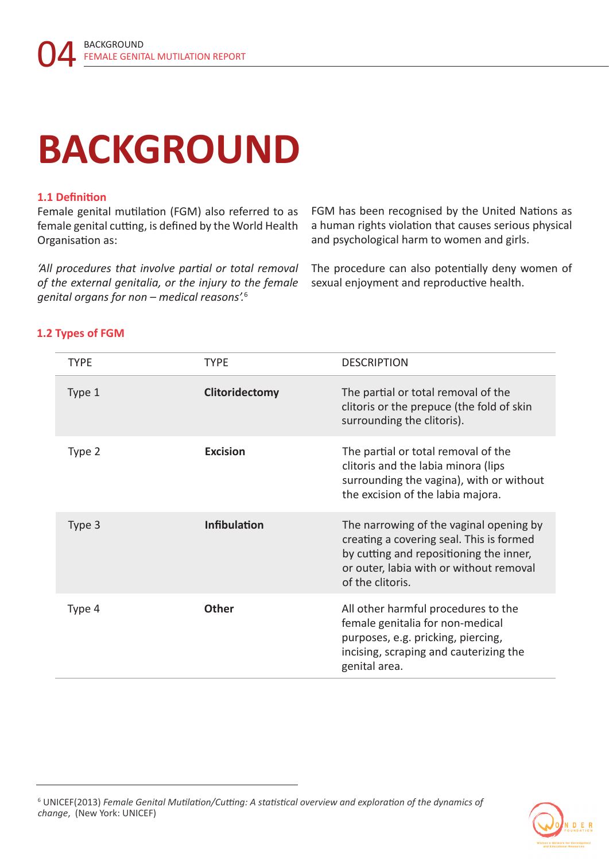### **BACKGROUND**

#### **1.1 Definition**

Female genital mutilation (FGM) also referred to as female genital cutting, is defined by the World Health Organisation as:

*'All procedures that involve partial or total removal of the external genitalia, or the injury to the female genital organs for non – medical reasons'.*<sup>6</sup>

FGM has been recognised by the United Nations as a human rights violation that causes serious physical and psychological harm to women and girls.

The procedure can also potentially deny women of sexual enjoyment and reproductive health.

| <b>TYPE</b> | <b>TYPE</b>         | <b>DESCRIPTION</b>                                                                                                                                                                            |
|-------------|---------------------|-----------------------------------------------------------------------------------------------------------------------------------------------------------------------------------------------|
| Type 1      | Clitoridectomy      | The partial or total removal of the<br>clitoris or the prepuce (the fold of skin<br>surrounding the clitoris).                                                                                |
| Type 2      | <b>Excision</b>     | The partial or total removal of the<br>clitoris and the labia minora (lips<br>surrounding the vagina), with or without<br>the excision of the labia majora.                                   |
| Type 3      | <b>Infibulation</b> | The narrowing of the vaginal opening by<br>creating a covering seal. This is formed<br>by cutting and repositioning the inner,<br>or outer, labia with or without removal<br>of the clitoris. |
| Type 4      | <b>Other</b>        | All other harmful procedures to the<br>female genitalia for non-medical<br>purposes, e.g. pricking, piercing,<br>incising, scraping and cauterizing the<br>genital area.                      |

<sup>6</sup> UNICEF(2013) *Female Genital Mutilation/Cutting: A statistical overview and exploration of the dynamics of change*, (New York: UNICEF)

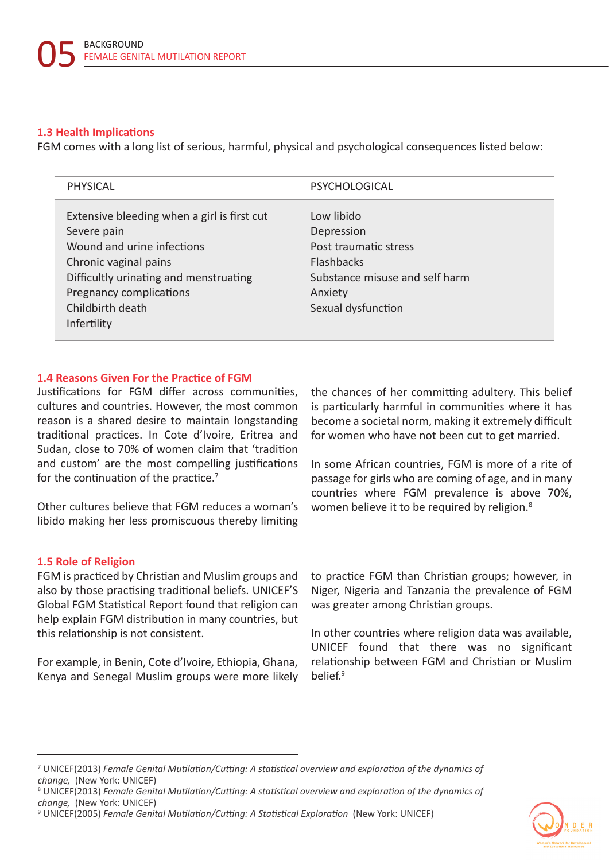#### **1.3 Health Implications**

FGM comes with a long list of serious, harmful, physical and psychological consequences listed below:

| <b>PHYSICAL</b>                                            | PSYCHOLOGICAL                  |
|------------------------------------------------------------|--------------------------------|
| Extensive bleeding when a girl is first cut<br>Severe pain | Low libido<br>Depression       |
| Wound and urine infections                                 | Post traumatic stress          |
| Chronic vaginal pains                                      | <b>Flashbacks</b>              |
| Difficultly urinating and menstruating                     | Substance misuse and self harm |
| Pregnancy complications                                    | Anxiety                        |
| Childbirth death                                           | Sexual dysfunction             |
| Infertility                                                |                                |

#### **1.4 Reasons Given For the Practice of FGM**

Justifications for FGM differ across communities, cultures and countries. However, the most common reason is a shared desire to maintain longstanding traditional practices. In Cote d'Ivoire, Eritrea and Sudan, close to 70% of women claim that 'tradition and custom' are the most compelling justifications for the continuation of the practice.<sup>7</sup>

Other cultures believe that FGM reduces a woman's libido making her less promiscuous thereby limiting

#### **1.5 Role of Religion**

FGM is practiced by Christian and Muslim groups and also by those practising traditional beliefs. UNICEF'S Global FGM Statistical Report found that religion can help explain FGM distribution in many countries, but this relationship is not consistent.

For example, in Benin, Cote d'Ivoire, Ethiopia, Ghana, Kenya and Senegal Muslim groups were more likely the chances of her committing adultery. This belief is particularly harmful in communities where it has become a societal norm, making it extremely difficult for women who have not been cut to get married.

In some African countries, FGM is more of a rite of passage for girls who are coming of age, and in many countries where FGM prevalence is above 70%, women believe it to be required by religion.<sup>8</sup>

to practice FGM than Christian groups; however, in Niger, Nigeria and Tanzania the prevalence of FGM was greater among Christian groups.

In other countries where religion data was available, UNICEF found that there was no significant relationship between FGM and Christian or Muslim belief.<sup>9</sup>

<sup>9</sup> UNICEF(2005) *Female Genital Mutilation/Cutting: A Statistical Exploration* (New York: UNICEF)



<sup>7</sup> UNICEF(2013) *Female Genital Mutilation/Cutting: A statistical overview and exploration of the dynamics of change,* (New York: UNICEF) 8

UNICEF(2013) *Female Genital Mutilation/Cutting: A statistical overview and exploration of the dynamics of change,* (New York: UNICEF)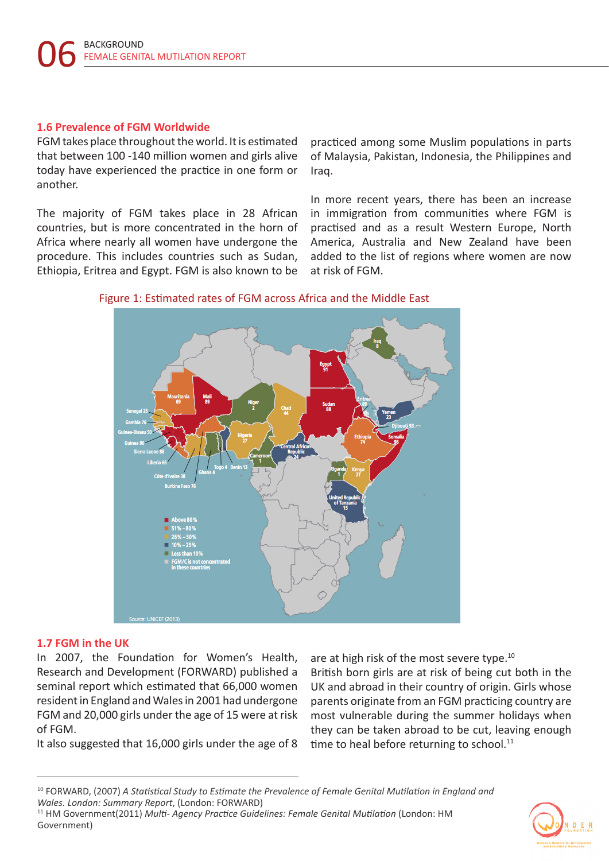#### **1.6 Prevalence of FGM Worldwide**

FGM takes place throughout the world. It is estimated that between 100 -140 million women and girls alive today have experienced the practice in one form or another.

The majority of FGM takes place in 28 African countries, but is more concentrated in the horn of Africa where nearly all women have undergone the procedure. This includes countries such as Sudan, Ethiopia, Eritrea and Egypt. FGM is also known to be practiced among some Muslim populations in parts of Malaysia, Pakistan, Indonesia, the Philippines and Iraq.

In more recent years, there has been an increase in immigration from communities where FGM is practised and as a result Western Europe, North America, Australia and New Zealand have been added to the list of regions where women are now at risk of FGM.



#### Figure 1: Estimated rates of FGM across Africa and the Middle East

#### **1.7 FGM in the UK**

In 2007, the Foundation for Women's Health, Research and Development (FORWARD) published a seminal report which estimated that 66,000 women resident in England and Wales in 2001 had undergone FGM and 20,000 girls under the age of 15 were at risk of FGM.

It also suggested that 16,000 girls under the age of 8

are at high risk of the most severe type.<sup>10</sup>

British born girls are at risk of being cut both in the UK and abroad in their country of origin. Girls whose parents originate from an FGM practicing country are most vulnerable during the summer holidays when they can be taken abroad to be cut, leaving enough time to heal before returning to school.<sup>11</sup>



<sup>10</sup> FORWARD, (2007) *A Statistical Study to Estimate the Prevalence of Female Genital Mutilation in England and Wales. London: Summary Report*, (London: FORWARD)

<sup>11</sup> HM Government(2011) *Multi- Agency Practice Guidelines: Female Genital Mutilation* (London: HM Government)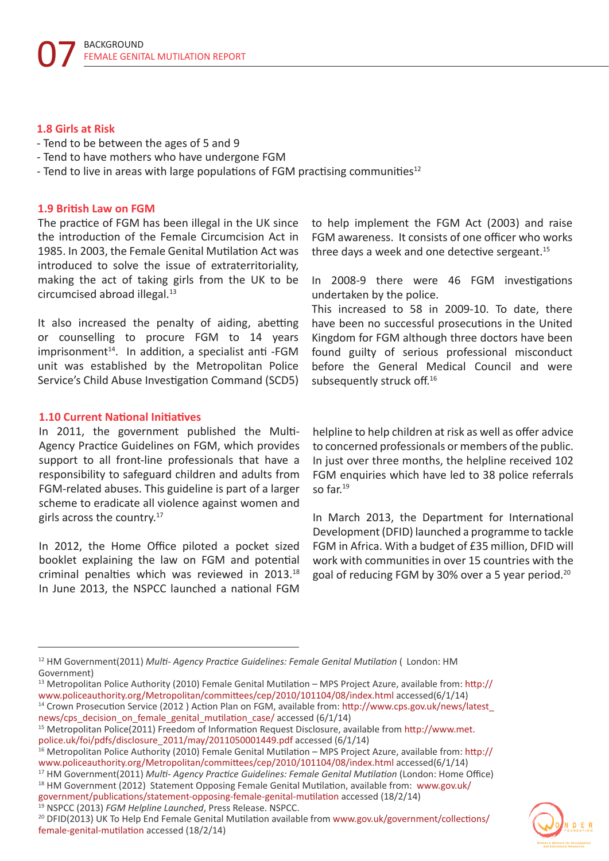#### **1.8 Girls at Risk**

- Tend to be between the ages of 5 and 9
- Tend to have mothers who have undergone FGM
- Tend to live in areas with large populations of FGM practising communities<sup>12</sup>

#### **1.9 British Law on FGM**

The practice of FGM has been illegal in the UK since the introduction of the Female Circumcision Act in 1985. In 2003, the Female Genital Mutilation Act was introduced to solve the issue of extraterritoriality, making the act of taking girls from the UK to be circumcised abroad illegal.<sup>13</sup>

It also increased the penalty of aiding, abetting or counselling to procure FGM to 14 years  $imprisonment<sup>14</sup>$ . In addition, a specialist anti -FGM unit was established by the Metropolitan Police Service's Child Abuse Investigation Command (SCD5)

#### **1.10 Current National Initiatives**

In 2011, the government published the Multi-Agency Practice Guidelines on FGM, which provides support to all front-line professionals that have a responsibility to safeguard children and adults from FGM-related abuses. This guideline is part of a larger scheme to eradicate all violence against women and girls across the country.<sup>17</sup>

In 2012, the Home Office piloted a pocket sized booklet explaining the law on FGM and potential criminal penalties which was reviewed in 2013.18 In June 2013, the NSPCC launched a national FGM

to help implement the FGM Act (2003) and raise FGM awareness. It consists of one officer who works three days a week and one detective sergeant.<sup>15</sup>

In 2008-9 there were 46 FGM investigations undertaken by the police.

This increased to 58 in 2009-10. To date, there have been no successful prosecutions in the United Kingdom for FGM although three doctors have been found guilty of serious professional misconduct before the General Medical Council and were subsequently struck off.<sup>16</sup>

helpline to help children at risk as well as offer advice to concerned professionals or members of the public. In just over three months, the helpline received 102 FGM enquiries which have led to 38 police referrals so far.<sup>19</sup>

In March 2013, the Department for International Development (DFID) launched a programme to tackle FGM in Africa. With a budget of £35 million, DFID will work with communities in over 15 countries with the goal of reducing FGM by 30% over a 5 year period.20

<sup>17</sup> HM Government(2011) *Multi- Agency Practice Guidelines: Female Genital Mutilation* (London: Home Office) <sup>18</sup> HM Government (2012) Statement Opposing Female Genital Mutilation, available from: www.gov.uk/

government/publications/statement-opposing-female-genital-mutilation accessed (18/2/14) <sup>19</sup> NSPCC (2013) *FGM Helpline Launched*, Press Release. NSPCC.

<sup>20</sup> DFID(2013) UK To Help End Female Genital Mutilation available from www.gov.uk/government/collections/ female-genital-mutilation accessed (18/2/14)



<sup>12</sup> HM Government(2011) *Multi- Agency Practice Guidelines: Female Genital Mutilation* ( London: HM Government)

 $13$  Metropolitan Police Authority (2010) Female Genital Mutilation – MPS Project Azure, available from: http:// www.policeauthority.org/Metropolitan/committees/cep/2010/101104/08/index.html accessed(6/1/14)

<sup>14</sup> Crown Prosecution Service (2012 ) Action Plan on FGM, available from: http://www.cps.gov.uk/news/latest\_ news/cps\_decision\_on\_female\_genital\_mutilation\_case/ accessed (6/1/14)

<sup>15</sup> Metropolitan Police(2011) Freedom of Information Request Disclosure, available from http://www.met. police.uk/foi/pdfs/disclosure\_2011/may/2011050001449.pdf accessed (6/1/14)

<sup>&</sup>lt;sup>16</sup> Metropolitan Police Authority (2010) Female Genital Mutilation – MPS Project Azure, available from: http:// www.policeauthority.org/Metropolitan/committees/cep/2010/101104/08/index.html accessed(6/1/14)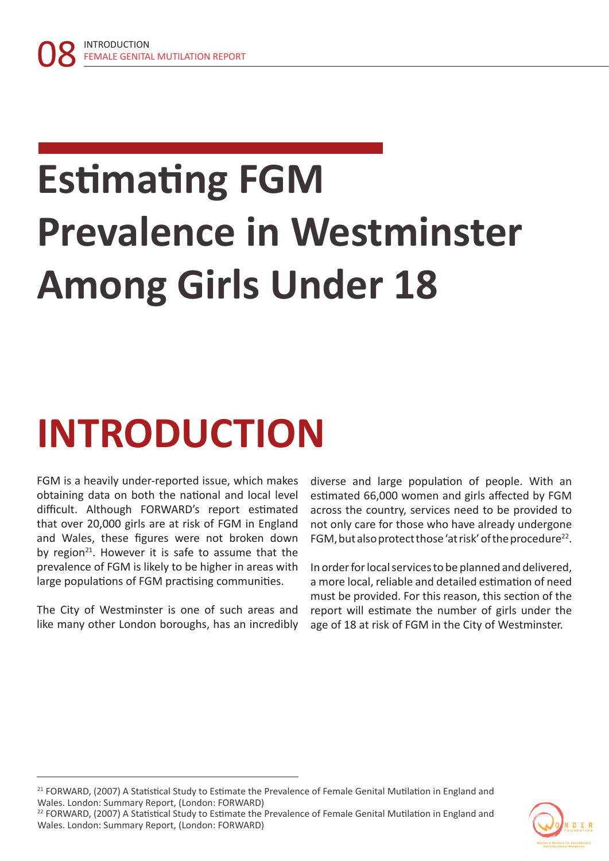# **Estimating FGM Prevalence in Westminster Among Girls Under 18**

### **INTRODUCTION**

FGM is a heavily under-reported issue, which makes obtaining data on both the national and local level difficult. Although FORWARD's report estimated that over 20,000 girls are at risk of FGM in England and Wales, these figures were not broken down by region<sup>21</sup>. However it is safe to assume that the prevalence of FGM is likely to be higher in areas with large populations of FGM practising communities.

The City of Westminster is one of such areas and like many other London boroughs, has an incredibly diverse and large population of people. With an estimated 66,000 women and girls affected by FGM across the country, services need to be provided to not only care for those who have already undergone FGM, but also protect those 'at risk' of the procedure<sup>22</sup>.

In order for local services to be planned and delivered, a more local, reliable and detailed estimation of need must be provided. For this reason, this section of the report will estimate the number of girls under the age of 18 at risk of FGM in the City of Westminster.

<sup>22</sup> FORWARD, (2007) A Statistical Study to Estimate the Prevalence of Female Genital Mutilation in England and Wales. London: Summary Report, (London: FORWARD)



<sup>&</sup>lt;sup>21</sup> FORWARD, (2007) A Statistical Study to Estimate the Prevalence of Female Genital Mutilation in England and Wales. London: Summary Report, (London: FORWARD)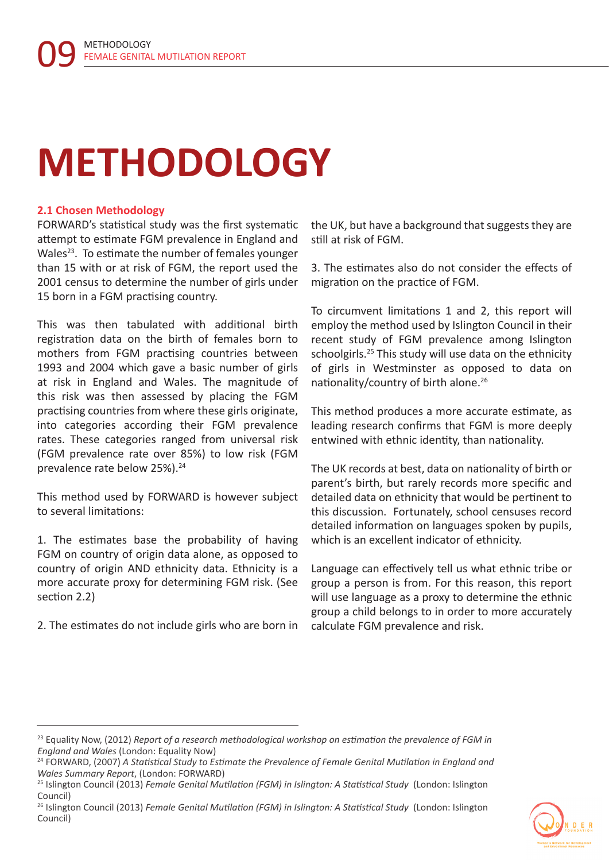### **METHODOLOGY**

#### **2.1 Chosen Methodology**

FORWARD's statistical study was the first systematic attempt to estimate FGM prevalence in England and Wales<sup>23</sup>. To estimate the number of females younger than 15 with or at risk of FGM, the report used the 2001 census to determine the number of girls under 15 born in a FGM practising country.

This was then tabulated with additional birth registration data on the birth of females born to mothers from FGM practising countries between 1993 and 2004 which gave a basic number of girls at risk in England and Wales. The magnitude of this risk was then assessed by placing the FGM practising countries from where these girls originate, into categories according their FGM prevalence rates. These categories ranged from universal risk (FGM prevalence rate over 85%) to low risk (FGM prevalence rate below 25%).<sup>24</sup>

This method used by FORWARD is however subject to several limitations:

1. The estimates base the probability of having FGM on country of origin data alone, as opposed to country of origin AND ethnicity data. Ethnicity is a more accurate proxy for determining FGM risk. (See section 2.2)

2. The estimates do not include girls who are born in

the UK, but have a background that suggests they are still at risk of FGM.

3. The estimates also do not consider the effects of migration on the practice of FGM.

To circumvent limitations 1 and 2, this report will employ the method used by Islington Council in their recent study of FGM prevalence among Islington schoolgirls.<sup>25</sup> This study will use data on the ethnicity of girls in Westminster as opposed to data on nationality/country of birth alone.26

This method produces a more accurate estimate, as leading research confirms that FGM is more deeply entwined with ethnic identity, than nationality.

The UK records at best, data on nationality of birth or parent's birth, but rarely records more specific and detailed data on ethnicity that would be pertinent to this discussion. Fortunately, school censuses record detailed information on languages spoken by pupils, which is an excellent indicator of ethnicity.

Language can effectively tell us what ethnic tribe or group a person is from. For this reason, this report will use language as a proxy to determine the ethnic group a child belongs to in order to more accurately calculate FGM prevalence and risk.

<sup>26</sup> Islington Council (2013) *Female Genital Mutilation (FGM) in Islington: A Statistical Study* (London: Islington Council)



<sup>23</sup> Equality Now, (2012) *Report of a research methodological workshop on estimation the prevalence of FGM in England and Wales* (London: Equality Now)

<sup>24</sup> FORWARD, (2007) *A Statistical Study to Estimate the Prevalence of Female Genital Mutilation in England and Wales Summary Report*, (London: FORWARD)

<sup>25</sup> Islington Council (2013) *Female Genital Mutilation (FGM) in Islington: A Statistical Study* (London: Islington Council)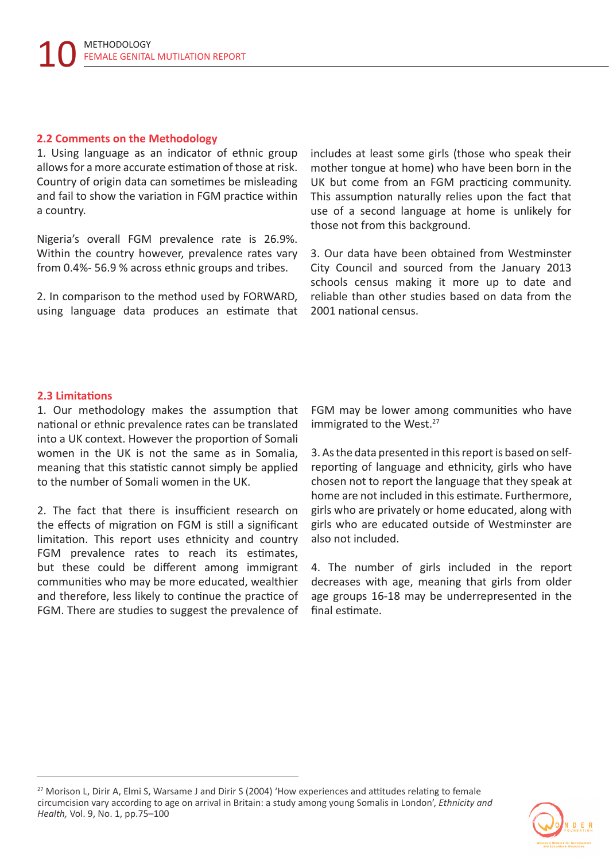#### **2.2 Comments on the Methodology**

1. Using language as an indicator of ethnic group allows for a more accurate estimation of those at risk. Country of origin data can sometimes be misleading and fail to show the variation in FGM practice within a country.

Nigeria's overall FGM prevalence rate is 26.9%. Within the country however, prevalence rates vary from 0.4%- 56.9 % across ethnic groups and tribes.

2. In comparison to the method used by FORWARD, using language data produces an estimate that includes at least some girls (those who speak their mother tongue at home) who have been born in the UK but come from an FGM practicing community. This assumption naturally relies upon the fact that use of a second language at home is unlikely for those not from this background.

3. Our data have been obtained from Westminster City Council and sourced from the January 2013 schools census making it more up to date and reliable than other studies based on data from the 2001 national census.

#### **2.3 Limitations**

1. Our methodology makes the assumption that national or ethnic prevalence rates can be translated into a UK context. However the proportion of Somali women in the UK is not the same as in Somalia, meaning that this statistic cannot simply be applied to the number of Somali women in the UK.

2. The fact that there is insufficient research on the effects of migration on FGM is still a significant limitation. This report uses ethnicity and country FGM prevalence rates to reach its estimates, but these could be different among immigrant communities who may be more educated, wealthier and therefore, less likely to continue the practice of FGM. There are studies to suggest the prevalence of FGM may be lower among communities who have immigrated to the West.<sup>27</sup>

3. As the data presented in this report is based on selfreporting of language and ethnicity, girls who have chosen not to report the language that they speak at home are not included in this estimate. Furthermore, girls who are privately or home educated, along with girls who are educated outside of Westminster are also not included.

4. The number of girls included in the report decreases with age, meaning that girls from older age groups 16-18 may be underrepresented in the final estimate.

<sup>&</sup>lt;sup>27</sup> Morison L, Dirir A, Elmi S, Warsame J and Dirir S (2004) 'How experiences and attitudes relating to female circumcision vary according to age on arrival in Britain: a study among young Somalis in London', *Ethnicity and Health,* Vol. 9, No. 1, pp.75–100

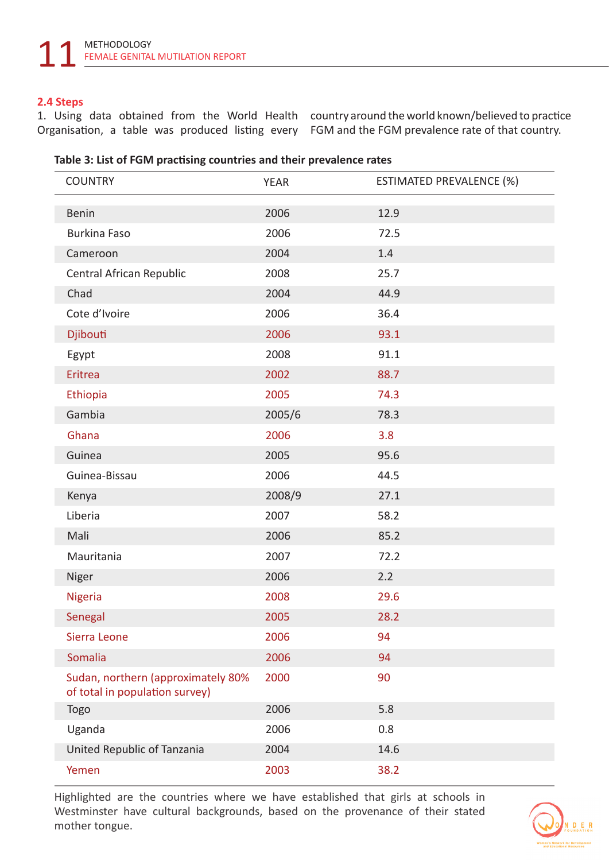#### **2.4 Steps**

1. Using data obtained from the World Health country around the world known/believed to practice Organisation, a table was produced listing every FGM and the FGM prevalence rate of that country.

|  |  | Table 3: List of FGM practising countries and their prevalence rates |  |
|--|--|----------------------------------------------------------------------|--|
|--|--|----------------------------------------------------------------------|--|

| <b>COUNTRY</b>                                                       | <b>YEAR</b> | <b>ESTIMATED PREVALENCE (%)</b> |
|----------------------------------------------------------------------|-------------|---------------------------------|
| <b>Benin</b>                                                         | 2006        | 12.9                            |
| <b>Burkina Faso</b>                                                  | 2006        | 72.5                            |
| Cameroon                                                             | 2004        | 1.4                             |
| Central African Republic                                             | 2008        | 25.7                            |
| Chad                                                                 | 2004        | 44.9                            |
| Cote d'Ivoire                                                        |             |                                 |
|                                                                      | 2006        | 36.4                            |
| Djibouti                                                             | 2006        | 93.1                            |
| Egypt                                                                | 2008        | 91.1                            |
| Eritrea                                                              | 2002        | 88.7                            |
| Ethiopia                                                             | 2005        | 74.3                            |
| Gambia                                                               | 2005/6      | 78.3                            |
| Ghana                                                                | 2006        | 3.8                             |
| Guinea                                                               | 2005        | 95.6                            |
| Guinea-Bissau                                                        | 2006        | 44.5                            |
| Kenya                                                                | 2008/9      | 27.1                            |
| Liberia                                                              | 2007        | 58.2                            |
| Mali                                                                 | 2006        | 85.2                            |
| Mauritania                                                           | 2007        | 72.2                            |
| Niger                                                                | 2006        | 2.2                             |
| Nigeria                                                              | 2008        | 29.6                            |
| Senegal                                                              | 2005        | 28.2                            |
| Sierra Leone                                                         | 2006        | 94                              |
| Somalia                                                              | 2006        | 94                              |
| Sudan, northern (approximately 80%<br>of total in population survey) | 2000        | 90                              |
| <b>Togo</b>                                                          | 2006        | 5.8                             |
| Uganda                                                               | 2006        | 0.8                             |
| United Republic of Tanzania                                          | 2004        | 14.6                            |
| Yemen                                                                | 2003        | 38.2                            |

Highlighted are the countries where we have established that girls at schools in Westminster have cultural backgrounds, based on the provenance of their stated mother tongue.

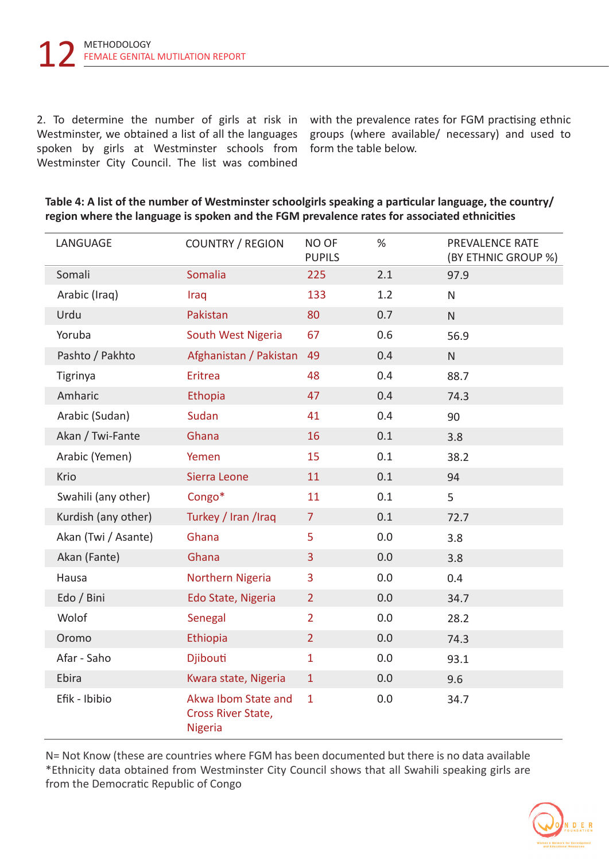2. To determine the number of girls at risk in Westminster, we obtained a list of all the languages spoken by girls at Westminster schools from Westminster City Council. The list was combined

with the prevalence rates for FGM practising ethnic groups (where available/ necessary) and used to form the table below.

| LANGUAGE            | <b>COUNTRY / REGION</b>                                     | NO OF<br><b>PUPILS</b> | $\%$ | PREVALENCE RATE<br>(BY ETHNIC GROUP %) |
|---------------------|-------------------------------------------------------------|------------------------|------|----------------------------------------|
| Somali              | Somalia                                                     | 225                    | 2.1  | 97.9                                   |
| Arabic (Iraq)       | Iraq                                                        | 133                    | 1.2  | $\mathsf{N}$                           |
| Urdu                | Pakistan                                                    | 80                     | 0.7  | ${\sf N}$                              |
| Yoruba              | South West Nigeria                                          | 67                     | 0.6  | 56.9                                   |
| Pashto / Pakhto     | Afghanistan / Pakistan                                      | 49                     | 0.4  | ${\sf N}$                              |
| <b>Tigrinya</b>     | Eritrea                                                     | 48                     | 0.4  | 88.7                                   |
| Amharic             | Ethopia                                                     | 47                     | 0.4  | 74.3                                   |
| Arabic (Sudan)      | Sudan                                                       | 41                     | 0.4  | 90                                     |
| Akan / Twi-Fante    | Ghana                                                       | 16                     | 0.1  | 3.8                                    |
| Arabic (Yemen)      | Yemen                                                       | 15                     | 0.1  | 38.2                                   |
| Krio                | Sierra Leone                                                | 11                     | 0.1  | 94                                     |
| Swahili (any other) | Congo*                                                      | 11                     | 0.1  | 5                                      |
| Kurdish (any other) | Turkey / Iran /Iraq                                         | $\overline{7}$         | 0.1  | 72.7                                   |
| Akan (Twi / Asante) | Ghana                                                       | 5                      | 0.0  | 3.8                                    |
| Akan (Fante)        | Ghana                                                       | 3                      | 0.0  | 3.8                                    |
| Hausa               | Northern Nigeria                                            | 3                      | 0.0  | 0.4                                    |
| Edo / Bini          | Edo State, Nigeria                                          | $\overline{2}$         | 0.0  | 34.7                                   |
| Wolof               | Senegal                                                     | $\overline{2}$         | 0.0  | 28.2                                   |
| Oromo               | Ethiopia                                                    | $\overline{2}$         | 0.0  | 74.3                                   |
| Afar - Saho         | <b>Djibouti</b>                                             | $\mathbf{1}$           | 0.0  | 93.1                                   |
| Ebira               | Kwara state, Nigeria                                        | $\mathbf{1}$           | 0.0  | 9.6                                    |
| Efik - Ibibio       | Akwa Ibom State and<br>Cross River State,<br><b>Nigeria</b> | $\mathbf{1}$           | 0.0  | 34.7                                   |

**Table 4: A list of the number of Westminster schoolgirls speaking a particular language, the country/ region where the language is spoken and the FGM prevalence rates for associated ethnicities**

N= Not Know (these are countries where FGM has been documented but there is no data available \*Ethnicity data obtained from Westminster City Council shows that all Swahili speaking girls are from the Democratic Republic of Congo

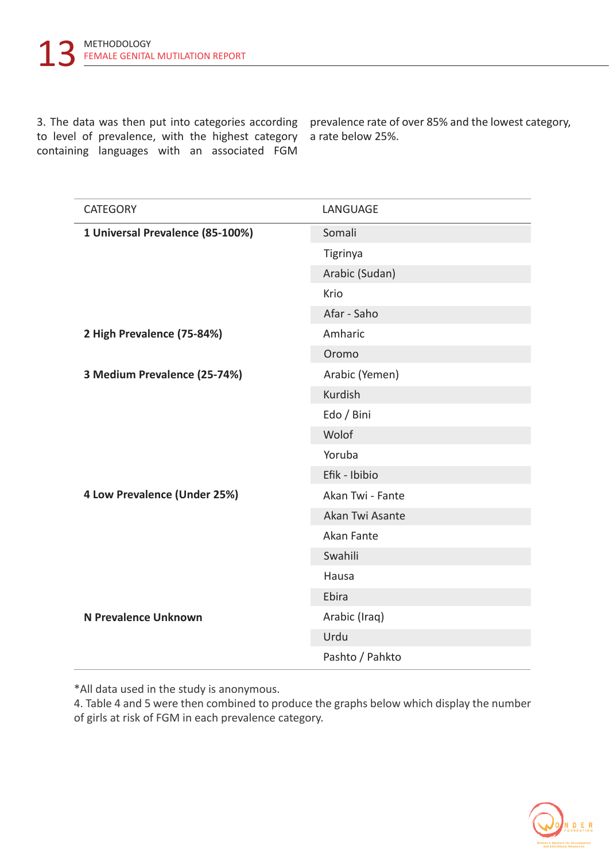3. The data was then put into categories according prevalence rate of over 85% and the lowest category, to level of prevalence, with the highest category containing languages with an associated FGM

a rate below 25%.

| <b>CATEGORY</b>                  | LANGUAGE         |  |
|----------------------------------|------------------|--|
| 1 Universal Prevalence (85-100%) | Somali           |  |
|                                  | Tigrinya         |  |
|                                  | Arabic (Sudan)   |  |
|                                  | Krio             |  |
|                                  | Afar - Saho      |  |
| 2 High Prevalence (75-84%)       | Amharic          |  |
|                                  | Oromo            |  |
| 3 Medium Prevalence (25-74%)     | Arabic (Yemen)   |  |
|                                  | Kurdish          |  |
|                                  | Edo / Bini       |  |
|                                  | Wolof            |  |
|                                  | Yoruba           |  |
|                                  | Efik - Ibibio    |  |
| 4 Low Prevalence (Under 25%)     | Akan Twi - Fante |  |
|                                  | Akan Twi Asante  |  |
|                                  | Akan Fante       |  |
|                                  | Swahili          |  |
|                                  | Hausa            |  |
|                                  | Ebira            |  |
| N Prevalence Unknown             | Arabic (Iraq)    |  |
|                                  | Urdu             |  |
|                                  | Pashto / Pahkto  |  |

\*All data used in the study is anonymous.

4. Table 4 and 5 were then combined to produce the graphs below which display the number of girls at risk of FGM in each prevalence category.

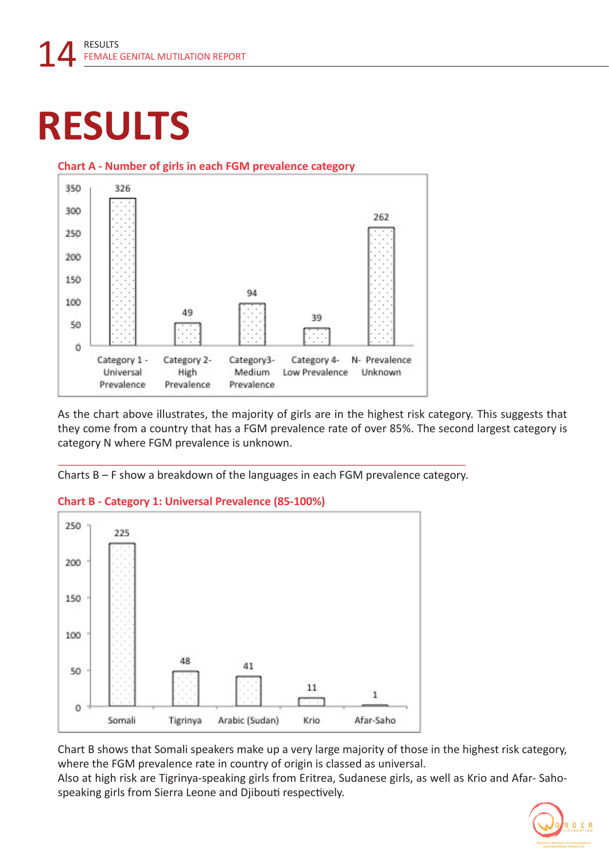### **RESULTS**



#### **Chart A - Number of girls in each FGM prevalence category**

As the chart above illustrates, the majority of girls are in the highest risk category. This suggests that they come from a country that has a FGM prevalence rate of over 85%. The second largest category is category N where FGM prevalence is unknown.

Charts B – F show a breakdown of the languages in each FGM prevalence category.

#### **Chart B - Category 1: Universal Prevalence (85-100%)**



Chart B shows that Somali speakers make up a very large majority of those in the highest risk category, where the FGM prevalence rate in country of origin is classed as universal.

Also at high risk are Tigrinya-speaking girls from Eritrea, Sudanese girls, as well as Krio and Afar- Sahospeaking girls from Sierra Leone and Djibouti respectively.

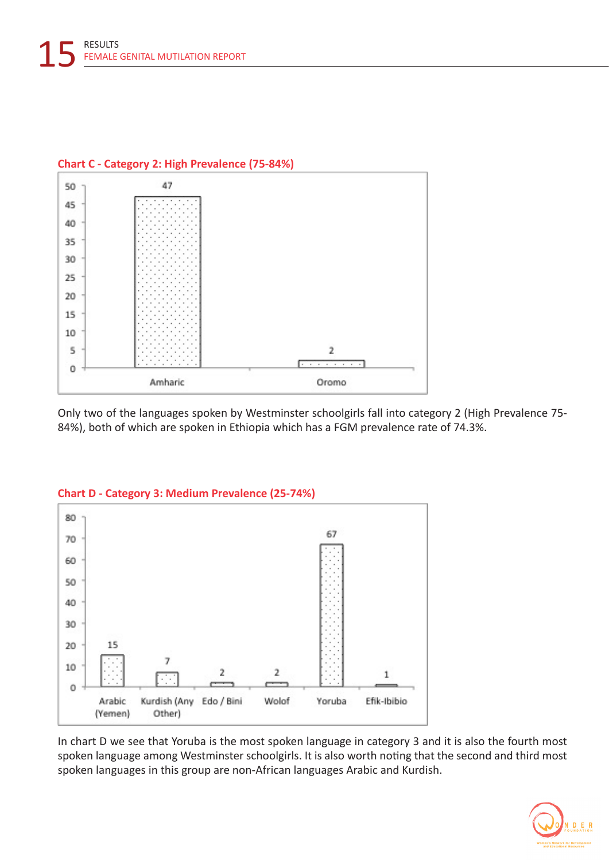

#### **Chart C - Category 2: High Prevalence (75-84%)**

Only two of the languages spoken by Westminster schoolgirls fall into category 2 (High Prevalence 75- 84%), both of which are spoken in Ethiopia which has a FGM prevalence rate of 74.3%.



#### **Chart D - Category 3: Medium Prevalence (25-74%)**

In chart D we see that Yoruba is the most spoken language in category 3 and it is also the fourth most spoken language among Westminster schoolgirls. It is also worth noting that the second and third most spoken languages in this group are non-African languages Arabic and Kurdish.

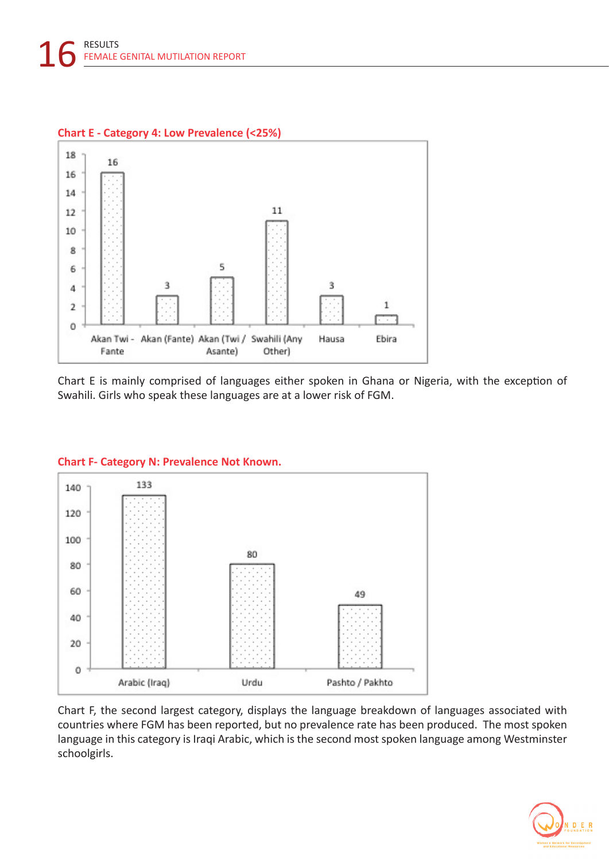

Chart E is mainly comprised of languages either spoken in Ghana or Nigeria, with the exception of Swahili. Girls who speak these languages are at a lower risk of FGM.



Chart F, the second largest category, displays the language breakdown of languages associated with countries where FGM has been reported, but no prevalence rate has been produced. The most spoken language in this category is Iraqi Arabic, which is the second most spoken language among Westminster schoolgirls.

#### **Chart F- Category N: Prevalence Not Known.**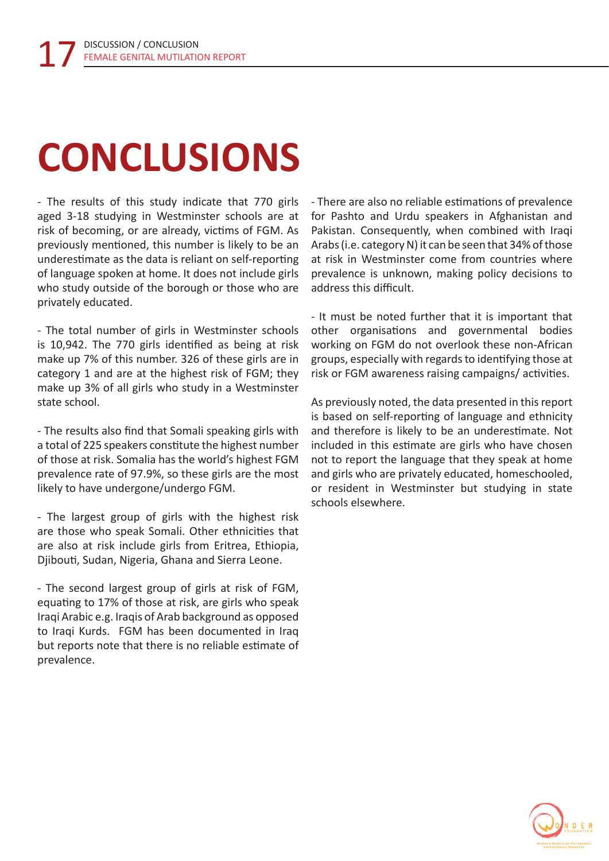# **CONCLUSIONS**

- The results of this study indicate that 770 girls aged 3-18 studying in Westminster schools are at risk of becoming, or are already, victims of FGM. As previously mentioned, this number is likely to be an underestimate as the data is reliant on self-reporting of language spoken at home. It does not include girls who study outside of the borough or those who are privately educated.

- The total number of girls in Westminster schools is 10,942. The 770 girls identified as being at risk make up 7% of this number. 326 of these girls are in category 1 and are at the highest risk of FGM; they make up 3% of all girls who study in a Westminster state school.

- The results also find that Somali speaking girls with a total of 225 speakers constitute the highest number of those at risk. Somalia has the world's highest FGM prevalence rate of 97.9%, so these girls are the most likely to have undergone/undergo FGM.

- The largest group of girls with the highest risk are those who speak Somali. Other ethnicities that are also at risk include girls from Eritrea, Ethiopia, Djibouti, Sudan, Nigeria, Ghana and Sierra Leone.

- The second largest group of girls at risk of FGM, equating to 17% of those at risk, are girls who speak Iraqi Arabic e.g. Iraqis of Arab background as opposed to Iraqi Kurds. FGM has been documented in Iraq but reports note that there is no reliable estimate of prevalence.

- There are also no reliable estimations of prevalence for Pashto and Urdu speakers in Afghanistan and Pakistan. Consequently, when combined with Iraqi Arabs (i.e. category N) it can be seen that 34% of those at risk in Westminster come from countries where prevalence is unknown, making policy decisions to address this difficult.

- It must be noted further that it is important that other organisations and governmental bodies working on FGM do not overlook these non-African groups, especially with regards to identifying those at risk or FGM awareness raising campaigns/ activities.

As previously noted, the data presented in this report is based on self-reporting of language and ethnicity and therefore is likely to be an underestimate. Not included in this estimate are girls who have chosen not to report the language that they speak at home and girls who are privately educated, homeschooled, or resident in Westminster but studying in state schools elsewhere.

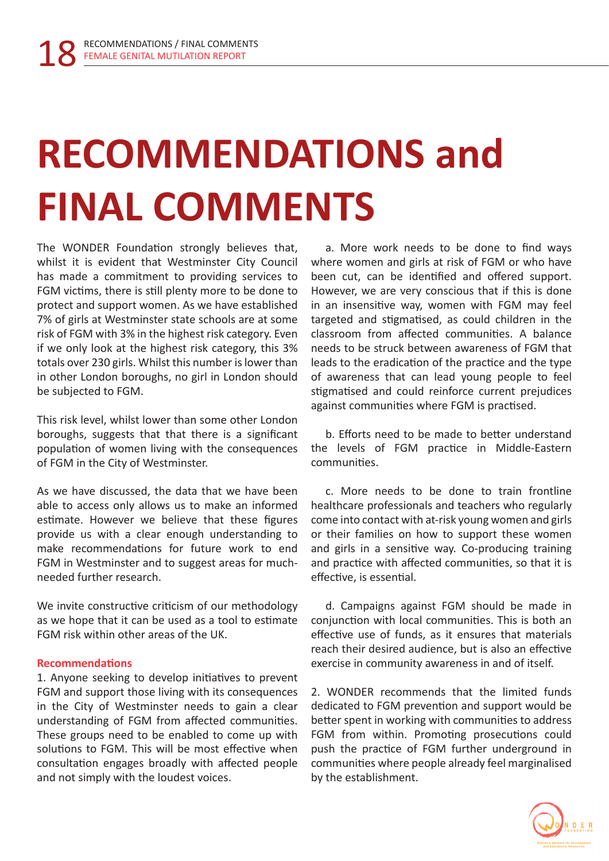## **RECOMMENDATIONS and FINAL COMMENTS**

The WONDER Foundation strongly believes that, whilst it is evident that Westminster City Council has made a commitment to providing services to FGM victims, there is still plenty more to be done to protect and support women. As we have established 7% of girls at Westminster state schools are at some risk of FGM with 3% in the highest risk category. Even if we only look at the highest risk category, this 3% totals over 230 girls. Whilst this number is lower than in other London boroughs, no girl in London should be subjected to FGM.

This risk level, whilst lower than some other London boroughs, suggests that that there is a significant population of women living with the consequences of FGM in the City of Westminster.

As we have discussed, the data that we have been able to access only allows us to make an informed estimate. However we believe that these figures provide us with a clear enough understanding to make recommendations for future work to end FGM in Westminster and to suggest areas for muchneeded further research.

We invite constructive criticism of our methodology as we hope that it can be used as a tool to estimate FGM risk within other areas of the UK.

#### **Recommendations**

1. Anyone seeking to develop initiatives to prevent FGM and support those living with its consequences in the City of Westminster needs to gain a clear understanding of FGM from affected communities. These groups need to be enabled to come up with solutions to FGM. This will be most effective when consultation engages broadly with affected people and not simply with the loudest voices.

a. More work needs to be done to find ways where women and girls at risk of FGM or who have been cut, can be identified and offered support. However, we are very conscious that if this is done in an insensitive way, women with FGM may feel targeted and stigmatised, as could children in the classroom from affected communities. A balance needs to be struck between awareness of FGM that leads to the eradication of the practice and the type of awareness that can lead young people to feel stigmatised and could reinforce current prejudices against communities where FGM is practised.

b. Efforts need to be made to better understand the levels of FGM practice in Middle-Eastern communities.

c. More needs to be done to train frontline healthcare professionals and teachers who regularly come into contact with at-risk young women and girls or their families on how to support these women and girls in a sensitive way. Co-producing training and practice with affected communities, so that it is effective, is essential.

d. Campaigns against FGM should be made in conjunction with local communities. This is both an effective use of funds, as it ensures that materials reach their desired audience, but is also an effective exercise in community awareness in and of itself.

2. WONDER recommends that the limited funds dedicated to FGM prevention and support would be better spent in working with communities to address FGM from within. Promoting prosecutions could push the practice of FGM further underground in communities where people already feel marginalised by the establishment.